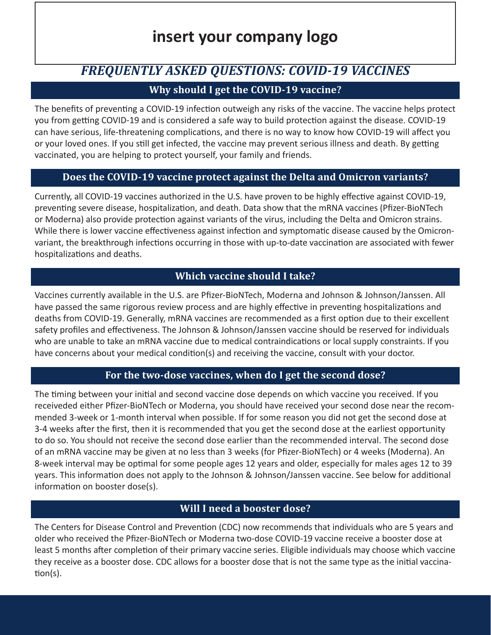# **insert your company logo**

# *FREQUENTLY ASKED QUESTIONS: COVID-19 VACCINES*

# **Why should I get the COVID-19 vaccine?**

The benefits of preventing a COVID-19 infection outweigh any risks of the vaccine. The vaccine helps protect you from getting COVID-19 and is considered a safe way to build protection against the disease. COVID-19 can have serious, life-threatening complications, and there is no way to know how COVID-19 will affect you or your loved ones. If you still get infected, the vaccine may prevent serious illness and death. By getting vaccinated, you are helping to protect yourself, your family and friends.

# **Does the COVID-19 vaccine protect against the Delta and Omicron variants?**

Currently, all COVID-19 vaccines authorized in the U.S. have proven to be highly effective against COVID-19, preventing severe disease, hospitalization, and death. Data show that the mRNA vaccines (Pfizer-BioNTech or Moderna) also provide protection against variants of the virus, including the Delta and Omicron strains. While there is lower vaccine effectiveness against infection and symptomatic disease caused by the Omicronvariant, the breakthrough infections occurring in those with up-to-date vaccination are associated with fewer hospitalizations and deaths.

# **Which vaccine should I take?**

Vaccines currently available in the U.S. are Pfizer-BioNTech, Moderna and Johnson & Johnson/Janssen. All have passed the same rigorous review process and are highly effective in preventing hospitalizations and deaths from COVID-19. Generally, mRNA vaccines are recommended as a first option due to their excellent safety profiles and effectiveness. The Johnson & Johnson/Janssen vaccine should be reserved for individuals who are unable to take an mRNA vaccine due to medical contraindications or local supply constraints. If you have concerns about your medical condition(s) and receiving the vaccine, consult with your doctor.

# **For the two-dose vaccines, when do I get the second dose?**

The timing between your initial and second vaccine dose depends on which vaccine you received. If you receiveded either Pfizer-BioNTech or Moderna, you should have received your second dose near the recommended 3-week or 1-month interval when possible. If for some reason you did not get the second dose at 3-4 weeks after the first, then it is recommended that you get the second dose at the earliest opportunity to do so. You should not receive the second dose earlier than the recommended interval. The second dose of an mRNA vaccine may be given at no less than 3 weeks (for Pfizer-BioNTech) or 4 weeks (Moderna). An 8-week interval may be optimal for some people ages 12 years and older, especially for males ages 12 to 39 years. This information does not apply to the Johnson & Johnson/Janssen vaccine. See below for additional information on booster dose(s).

# **Will I need a booster dose?**

The Centers for Disease Control and Prevention (CDC) now recommends that individuals who are 5 years and older who received the Pfizer-BioNTech or Moderna two-dose COVID-19 vaccine receive a booster dose at least 5 months after completion of their primary vaccine series. Eligible individuals may choose which vaccine they receive as a booster dose. CDC allows for a booster dose that is not the same type as the initial vaccination(s).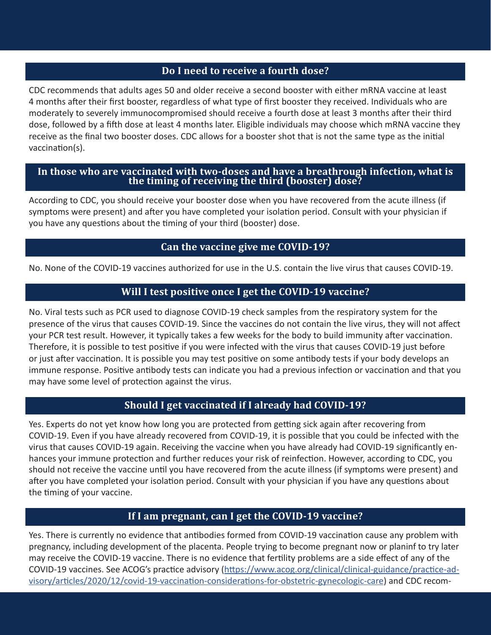#### **Do I need to receive a fourth dose?**

CDC recommends that adults ages 50 and older receive a second booster with either mRNA vaccine at least 4 months after their first booster, regardless of what type of first booster they received. Individuals who are moderately to severely immunocompromised should receive a fourth dose at least 3 months after their third dose, followed by a fifth dose at least 4 months later. Eligible individuals may choose which mRNA vaccine they receive as the final two booster doses. CDC allows for a booster shot that is not the same type as the initial vaccination(s).

#### **In those who are vaccinated with two-doses and have a breathrough infection, what is the timing of receiving the third (booster) dose?**

According to CDC, you should receive your booster dose when you have recovered from the acute illness (if symptoms were present) and after you have completed your isolation period. Consult with your physician if you have any questions about the timing of your third (booster) dose.

#### **Can the vaccine give me COVID-19?**

No. None of the COVID-19 vaccines authorized for use in the U.S. contain the live virus that causes COVID-19.

# **Will I test positive once I get the COVID-19 vaccine?**

No. Viral tests such as PCR used to diagnose COVID-19 check samples from the respiratory system for the presence of the virus that causes COVID-19. Since the vaccines do not contain the live virus, they will not affect your PCR test result. However, it typically takes a few weeks for the body to build immunity after vaccination. Therefore, it is possible to test positive if you were infected with the virus that causes COVID-19 just before or just after vaccination. It is possible you may test positive on some antibody tests if your body develops an immune response. Positive antibody tests can indicate you had a previous infection or vaccination and that you may have some level of protection against the virus.

# **Should I get vaccinated if I already had COVID-19?**

Yes. Experts do not yet know how long you are protected from getting sick again after recovering from COVID-19. Even if you have already recovered from COVID-19, it is possible that you could be infected with the virus that causes COVID-19 again. Receiving the vaccine when you have already had COVID-19 significantly enhances your immune protection and further reduces your risk of reinfection. However, according to CDC, you should not receive the vaccine until you have recovered from the acute illness (if symptoms were present) and after you have completed your isolation period. Consult with your physician if you have any questions about the timing of your vaccine.

#### **If I am pregnant, can I get the COVID-19 vaccine?**

Yes. There is currently no evidence that antibodies formed from COVID-19 vaccination cause any problem with pregnancy, including development of the placenta. People trying to become pregnant now or planinf to try later may receive the COVID-19 vaccine. There is no evidence that fertility problems are a side effect of any of the COVID-19 vaccines. See ACOG's practice advisory ([https://www.acog.org/clinical/clinical-guidance/practice-ad](https://www.acog.org/clinical/clinical-guidance/practice-advisory/articles/2020/12/covid-19-vaccination-considerations-for-obstetric-gynecologic-care)[visory/articles/2020/12/covid-19-vaccination-considerations-for-obstetric-gynecologic-care\)](https://www.acog.org/clinical/clinical-guidance/practice-advisory/articles/2020/12/covid-19-vaccination-considerations-for-obstetric-gynecologic-care) and CDC recom-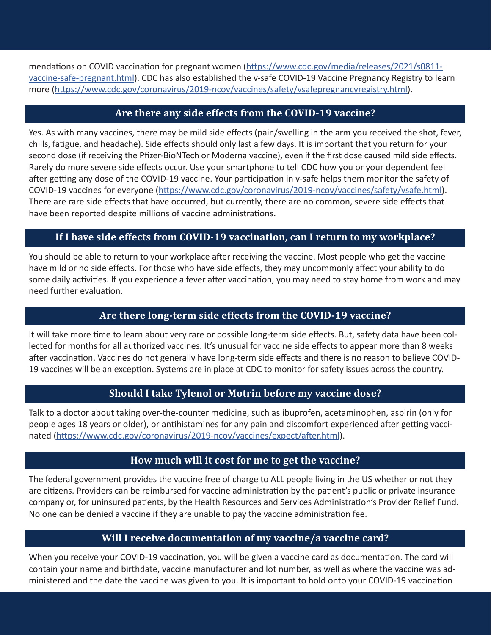mendations on COVID vaccination for pregnant women [\(https://www.cdc.gov/media/releases/2021/s0811](https://www.cdc.gov/media/releases/2021/s0811-vaccine-safe-pregnant.html) [vaccine-safe-pregnant.html](https://www.cdc.gov/media/releases/2021/s0811-vaccine-safe-pregnant.html)). CDC has also established the v-safe COVID-19 Vaccine Pregnancy Registry to learn more [\(https://www.cdc.gov/coronavirus/2019-ncov/vaccines/safety/vsafepregnancyregistry.html](https://www.cdc.gov/coronavirus/2019-ncov/vaccines/safety/vsafepregnancyregistry.html)).

# **Are there any side effects from the COVID-19 vaccine?**

Yes. As with many vaccines, there may be mild side effects (pain/swelling in the arm you received the shot, fever, chills, fatigue, and headache). Side effects should only last a few days. It is important that you return for your second dose (if receiving the Pfizer-BioNTech or Moderna vaccine), even if the first dose caused mild side effects. Rarely do more severe side effects occur. Use your smartphone to tell CDC how you or your dependent feel after getting any dose of the COVID-19 vaccine. Your participation in v-safe helps them monitor the safety of COVID-19 vaccines for everyone (<https://www.cdc.gov/coronavirus/2019-ncov/vaccines/safety/vsafe.html>). There are rare side effects that have occurred, but currently, there are no common, severe side effects that have been reported despite millions of vaccine administrations.

#### **If I have side effects from COVID-19 vaccination, can I return to my workplace?**

You should be able to return to your workplace after receiving the vaccine. Most people who get the vaccine have mild or no side effects. For those who have side effects, they may uncommonly affect your ability to do some daily activities. If you experience a fever after vaccination, you may need to stay home from work and may need further evaluation.

#### **Are there long-term side effects from the COVID-19 vaccine?**

It will take more time to learn about very rare or possible long-term side effects. But, safety data have been collected for months for all authorized vaccines. It's unusual for vaccine side effects to appear more than 8 weeks after vaccination. Vaccines do not generally have long-term side effects and there is no reason to believe COVID-19 vaccines will be an exception. Systems are in place at CDC to monitor for safety issues across the country.

#### **Should I take Tylenol or Motrin before my vaccine dose?**

Talk to a doctor about taking over-the-counter medicine, such as ibuprofen, acetaminophen, aspirin (only for people ages 18 years or older), or antihistamines for any pain and discomfort experienced after getting vaccinated [\(https://www.cdc.gov/coronavirus/2019-ncov/vaccines/expect/after.html\)](https://www.cdc.gov/coronavirus/2019-ncov/vaccines/expect/after.html).

#### **How much will it cost for me to get the vaccine?**

The federal government provides the vaccine free of charge to ALL people living in the US whether or not they are citizens. Providers can be reimbursed for vaccine administration by the patient's public or private insurance company or, for uninsured patients, by the Health Resources and Services Administration's Provider Relief Fund. No one can be denied a vaccine if they are unable to pay the vaccine administration fee.

#### **Will I receive documentation of my vaccine/a vaccine card?**

When you receive your COVID-19 vaccination, you will be given a vaccine card as documentation. The card will contain your name and birthdate, vaccine manufacturer and lot number, as well as where the vaccine was administered and the date the vaccine was given to you. It is important to hold onto your COVID-19 vaccination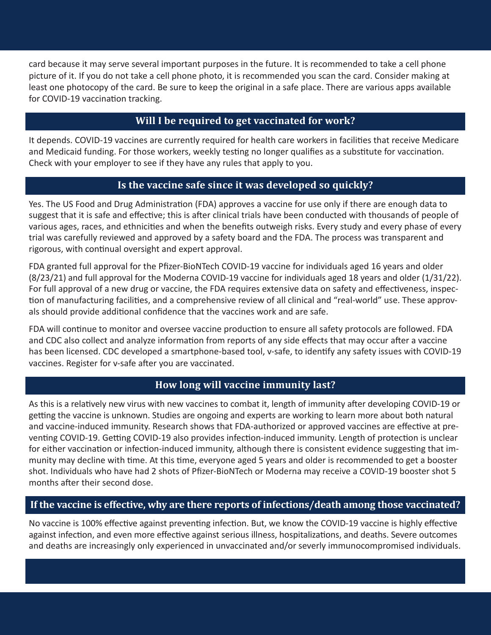card because it may serve several important purposes in the future. It is recommended to take a cell phone picture of it. If you do not take a cell phone photo, it is recommended you scan the card. Consider making at least one photocopy of the card. Be sure to keep the original in a safe place. There are various apps available for COVID-19 vaccination tracking.

# **Will I be required to get vaccinated for work?**

It depends. COVID-19 vaccines are currently required for health care workers in facilities that receive Medicare and Medicaid funding. For those workers, weekly testing no longer qualifies as a substitute for vaccination. Check with your employer to see if they have any rules that apply to you.

#### **Is the vaccine safe since it was developed so quickly?**

Yes. The US Food and Drug Administration (FDA) approves a vaccine for use only if there are enough data to suggest that it is safe and effective; this is after clinical trials have been conducted with thousands of people of various ages, races, and ethnicities and when the benefits outweigh risks. Every study and every phase of every trial was carefully reviewed and approved by a safety board and the FDA. The process was transparent and rigorous, with continual oversight and expert approval.

FDA granted full approval for the Pfizer-BioNTech COVID-19 vaccine for individuals aged 16 years and older (8/23/21) and full approval for the Moderna COVID-19 vaccine for individuals aged 18 years and older (1/31/22). For full approval of a new drug or vaccine, the FDA requires extensive data on safety and effectiveness, inspection of manufacturing facilities, and a comprehensive review of all clinical and "real-world" use. These approvals should provide additional confidence that the vaccines work and are safe.

FDA will continue to monitor and oversee vaccine production to ensure all safety protocols are followed. FDA and CDC also collect and analyze information from reports of any side effects that may occur after a vaccine has been licensed. CDC developed a smartphone-based tool, v-safe, to identify any safety issues with COVID-19 vaccines. Register for v-safe after you are vaccinated.

#### **How long will vaccine immunity last?**

As this is a relatively new virus with new vaccines to combat it, length of immunity after developing COVID-19 or getting the vaccine is unknown. Studies are ongoing and experts are working to learn more about both natural and vaccine-induced immunity. Research shows that FDA-authorized or approved vaccines are effective at preventing COVID-19. Getting COVID-19 also provides infection-induced immunity. Length of protection is unclear for either vaccination or infection-induced immunity, although there is consistent evidence suggesting that immunity may decline with time. At this time, everyone aged 5 years and older is recommended to get a booster shot. Individuals who have had 2 shots of Pfizer-BioNTech or Moderna may receive a COVID-19 booster shot 5 months after their second dose.

#### **If the vaccine is effective, why are there reports of infections/death among those vaccinated?**

No vaccine is 100% effective against preventing infection. But, we know the COVID-19 vaccine is highly effective against infection, and even more effective against serious illness, hospitalizations, and deaths. Severe outcomes and deaths are increasingly only experienced in unvaccinated and/or severly immunocompromised individuals.